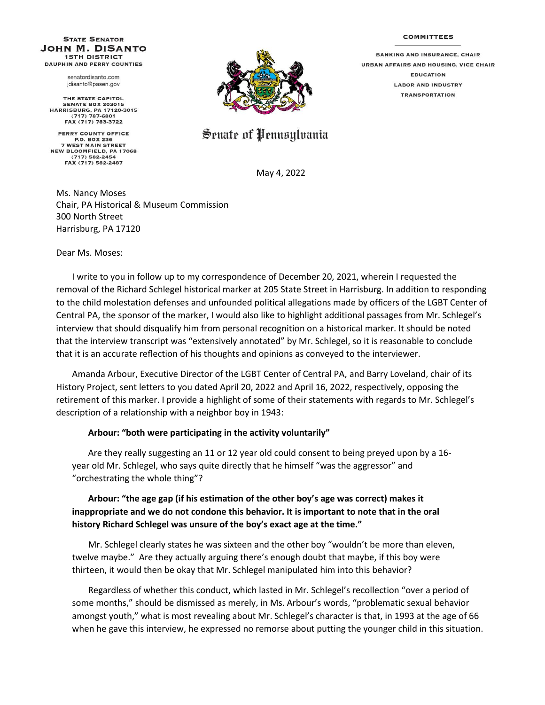## **COMMITTEES**

## **STATE SENATOR JOHN M. DISANTO 15TH DISTRICT DAUPHIN AND PERRY COUNTIES**

senatordisanto.com jdisanto@pasen.gov

THE STATE CAPITOL **SENATE BOX 203015** HARRISBURG, PA 17120-3015<br>(717) 787-6801 FAX (717) 783-3722

PERRY COUNTY OFFICE P.O. BOX 236 **7 WEST MAIN STREET NEW BLOOMFIELD, PA 17068** (717) 582-2454 FAX (717) 582-2487



Senate of Pennsylvania

May 4, 2022

Ms. Nancy Moses Chair, PA Historical & Museum Commission 300 North Street Harrisburg, PA 17120

Dear Ms. Moses:

I write to you in follow up to my correspondence of December 20, 2021, wherein I requested the removal of the Richard Schlegel historical marker at 205 State Street in Harrisburg. In addition to responding to the child molestation defenses and unfounded political allegations made by officers of the LGBT Center of Central PA, the sponsor of the marker, I would also like to highlight additional passages from Mr. Schlegel's interview that should disqualify him from personal recognition on a historical marker. It should be noted that the interview transcript was "extensively annotated" by Mr. Schlegel, so it is reasonable to conclude that it is an accurate reflection of his thoughts and opinions as conveyed to the interviewer.

Amanda Arbour, Executive Director of the LGBT Center of Central PA, and Barry Loveland, chair of its History Project, sent letters to you dated April 20, 2022 and April 16, 2022, respectively, opposing the retirement of this marker. I provide a highlight of some of their statements with regards to Mr. Schlegel's description of a relationship with a neighbor boy in 1943:

## **Arbour: "both were participating in the activity voluntarily"**

Are they really suggesting an 11 or 12 year old could consent to being preyed upon by a 16 year old Mr. Schlegel, who says quite directly that he himself "was the aggressor" and "orchestrating the whole thing"?

## **Arbour: "the age gap (if his estimation of the other boy's age was correct) makes it inappropriate and we do not condone this behavior. It is important to note that in the oral history Richard Schlegel was unsure of the boy's exact age at the time."**

Mr. Schlegel clearly states he was sixteen and the other boy "wouldn't be more than eleven, twelve maybe." Are they actually arguing there's enough doubt that maybe, if this boy were thirteen, it would then be okay that Mr. Schlegel manipulated him into this behavior?

Regardless of whether this conduct, which lasted in Mr. Schlegel's recollection "over a period of some months," should be dismissed as merely, in Ms. Arbour's words, "problematic sexual behavior amongst youth," what is most revealing about Mr. Schlegel's character is that, in 1993 at the age of 66 when he gave this interview, he expressed no remorse about putting the younger child in this situation.

**BANKING AND INSURANCE, CHAIR URBAN AFFAIRS AND HOUSING, VICE CHAIR EDUCATION LABOR AND INDUSTRY TRANSPORTATION**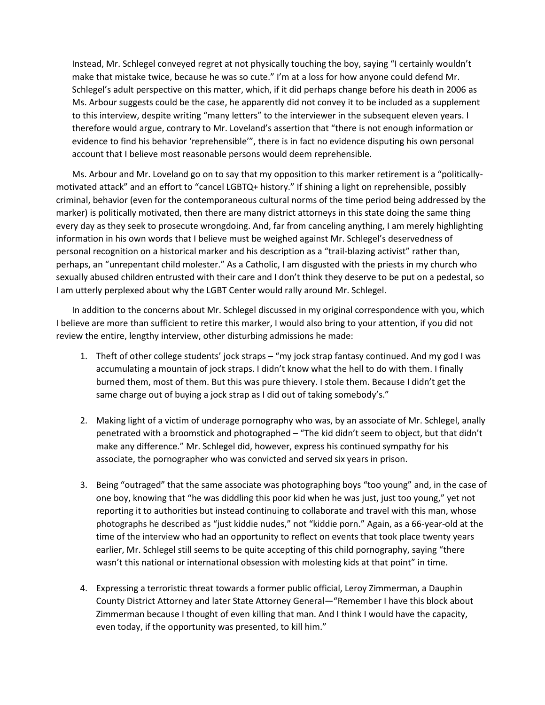Instead, Mr. Schlegel conveyed regret at not physically touching the boy, saying "I certainly wouldn't make that mistake twice, because he was so cute." I'm at a loss for how anyone could defend Mr. Schlegel's adult perspective on this matter, which, if it did perhaps change before his death in 2006 as Ms. Arbour suggests could be the case, he apparently did not convey it to be included as a supplement to this interview, despite writing "many letters" to the interviewer in the subsequent eleven years. I therefore would argue, contrary to Mr. Loveland's assertion that "there is not enough information or evidence to find his behavior 'reprehensible'", there is in fact no evidence disputing his own personal account that I believe most reasonable persons would deem reprehensible.

Ms. Arbour and Mr. Loveland go on to say that my opposition to this marker retirement is a "politicallymotivated attack" and an effort to "cancel LGBTQ+ history." If shining a light on reprehensible, possibly criminal, behavior (even for the contemporaneous cultural norms of the time period being addressed by the marker) is politically motivated, then there are many district attorneys in this state doing the same thing every day as they seek to prosecute wrongdoing. And, far from canceling anything, I am merely highlighting information in his own words that I believe must be weighed against Mr. Schlegel's deservedness of personal recognition on a historical marker and his description as a "trail-blazing activist" rather than, perhaps, an "unrepentant child molester." As a Catholic, I am disgusted with the priests in my church who sexually abused children entrusted with their care and I don't think they deserve to be put on a pedestal, so I am utterly perplexed about why the LGBT Center would rally around Mr. Schlegel.

In addition to the concerns about Mr. Schlegel discussed in my original correspondence with you, which I believe are more than sufficient to retire this marker, I would also bring to your attention, if you did not review the entire, lengthy interview, other disturbing admissions he made:

- 1. Theft of other college students' jock straps "my jock strap fantasy continued. And my god I was accumulating a mountain of jock straps. I didn't know what the hell to do with them. I finally burned them, most of them. But this was pure thievery. I stole them. Because I didn't get the same charge out of buying a jock strap as I did out of taking somebody's."
- 2. Making light of a victim of underage pornography who was, by an associate of Mr. Schlegel, anally penetrated with a broomstick and photographed – "The kid didn't seem to object, but that didn't make any difference." Mr. Schlegel did, however, express his continued sympathy for his associate, the pornographer who was convicted and served six years in prison.
- 3. Being "outraged" that the same associate was photographing boys "too young" and, in the case of one boy, knowing that "he was diddling this poor kid when he was just, just too young," yet not reporting it to authorities but instead continuing to collaborate and travel with this man, whose photographs he described as "just kiddie nudes," not "kiddie porn." Again, as a 66-year-old at the time of the interview who had an opportunity to reflect on events that took place twenty years earlier, Mr. Schlegel still seems to be quite accepting of this child pornography, saying "there wasn't this national or international obsession with molesting kids at that point" in time.
- 4. Expressing a terroristic threat towards a former public official, Leroy Zimmerman, a Dauphin County District Attorney and later State Attorney General—"Remember I have this block about Zimmerman because I thought of even killing that man. And I think I would have the capacity, even today, if the opportunity was presented, to kill him."